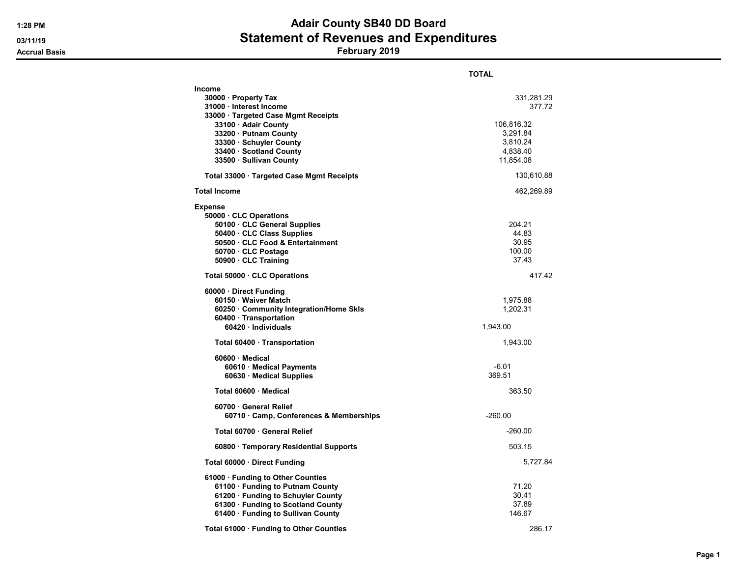## 1:28 PM **Adair County SB40 DD Board** 03/11/19 **Statement of Revenues and Expenditures**

Accrual Basis February 2019

|                                                                                                                                                                                                                                  | <b>TOTAL</b>                                                                        |
|----------------------------------------------------------------------------------------------------------------------------------------------------------------------------------------------------------------------------------|-------------------------------------------------------------------------------------|
| Income<br>30000 Property Tax<br>31000 · Interest Income<br>33000 · Targeted Case Mgmt Receipts<br>33100 · Adair County<br>33200 · Putnam County<br>33300 · Schuyler County<br>33400 · Scotland County<br>33500 · Sullivan County | 331,281.29<br>377.72<br>106,816.32<br>3,291.84<br>3,810.24<br>4,838.40<br>11,854.08 |
| Total 33000 · Targeted Case Mgmt Receipts                                                                                                                                                                                        | 130,610.88                                                                          |
| <b>Total Income</b>                                                                                                                                                                                                              | 462,269.89                                                                          |
| <b>Expense</b><br>50000 CLC Operations<br>50100 · CLC General Supplies<br>50400 · CLC Class Supplies<br>50500 · CLC Food & Entertainment<br>50700 · CLC Postage<br>50900 CLC Training                                            | 204.21<br>44.83<br>30.95<br>100.00<br>37.43                                         |
| Total 50000 CLC Operations                                                                                                                                                                                                       | 417.42                                                                              |
| 60000 Direct Funding<br>60150 · Waiver Match<br>60250 Community Integration/Home Skls<br>60400 · Transportation<br>60420 Individuals                                                                                             | 1,975.88<br>1,202.31<br>1,943.00                                                    |
| Total 60400 · Transportation                                                                                                                                                                                                     | 1,943.00                                                                            |
| 60600 · Medical<br>60610 · Medical Payments<br>60630 Medical Supplies<br>Total 60600 · Medical                                                                                                                                   | $-6.01$<br>369.51<br>363.50                                                         |
| 60700 General Relief<br>60710 Camp, Conferences & Memberships                                                                                                                                                                    | $-260.00$                                                                           |
| Total 60700 · General Relief                                                                                                                                                                                                     | $-260.00$                                                                           |
| 60800 · Temporary Residential Supports                                                                                                                                                                                           | 503.15                                                                              |
| Total 60000 Direct Funding                                                                                                                                                                                                       | 5,727.84                                                                            |
| 61000 Funding to Other Counties<br>61100 · Funding to Putnam County<br>61200 · Funding to Schuyler County<br>61300 · Funding to Scotland County<br>61400 · Funding to Sullivan County                                            | 71.20<br>30.41<br>37.89<br>146.67                                                   |
| Total 61000 · Funding to Other Counties                                                                                                                                                                                          | 286.17                                                                              |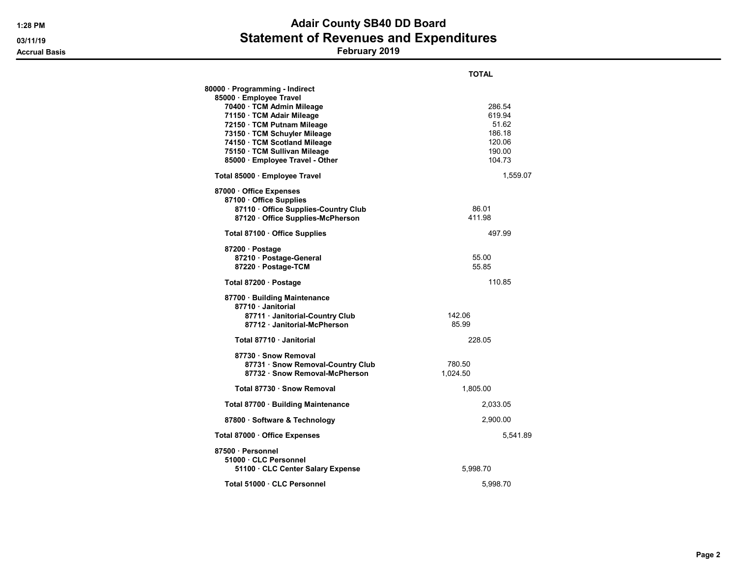## 1:28 PM **Adair County SB40 DD Board** 03/11/19 **Statement of Revenues and Expenditures**

Accrual Basis February 2019

|                                                           | TOTAL    |
|-----------------------------------------------------------|----------|
| 80000 · Programming - Indirect<br>85000 · Employee Travel |          |
| 70400 · TCM Admin Mileage                                 | 286.54   |
| 71150 · TCM Adair Mileage                                 | 619.94   |
| 72150 · TCM Putnam Mileage                                | 51.62    |
| 73150 · TCM Schuyler Mileage                              | 186.18   |
| 74150 · TCM Scotland Mileage                              | 120.06   |
| 75150 · TCM Sullivan Mileage                              | 190.00   |
| 85000 · Employee Travel - Other                           | 104.73   |
| Total 85000 · Employee Travel                             | 1,559.07 |
| 87000 Office Expenses                                     |          |
| 87100 · Office Supplies                                   |          |
| 87110 · Office Supplies-Country Club                      | 86.01    |
| 87120 · Office Supplies-McPherson                         | 411.98   |
| Total 87100 · Office Supplies                             | 497.99   |
| 87200 · Postage                                           |          |
| 87210 · Postage-General                                   | 55.00    |
| 87220 · Postage-TCM                                       | 55.85    |
| Total 87200 · Postage                                     | 110.85   |
| 87700 · Building Maintenance                              |          |
| 87710 Janitorial                                          |          |
| 87711 Janitorial-Country Club                             | 142.06   |
| 87712 Janitorial-McPherson                                | 85.99    |
| Total 87710 Janitorial                                    | 228.05   |
| 87730 · Snow Removal                                      |          |
| 87731 · Snow Removal-Country Club                         | 780.50   |
| 87732 Snow Removal-McPherson                              | 1,024.50 |
| Total 87730 · Snow Removal                                | 1,805.00 |
| Total 87700 · Building Maintenance                        | 2,033.05 |
| 87800 · Software & Technology                             | 2,900.00 |
| Total 87000 · Office Expenses                             | 5,541.89 |
| 87500 · Personnel                                         |          |
| 51000 CLC Personnel                                       |          |
| 51100 · CLC Center Salary Expense                         | 5,998.70 |
| Total 51000 · CLC Personnel                               | 5,998.70 |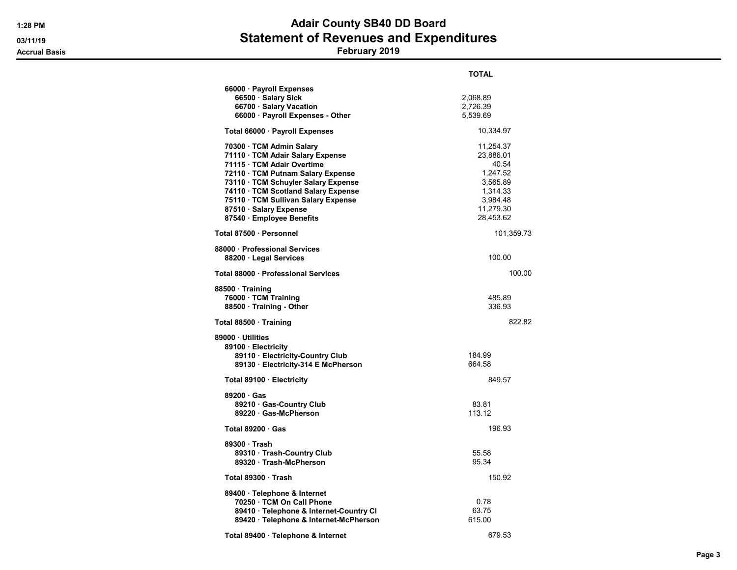# 1:28 PM **Adair County SB40 DD Board** 03/11/19 **Statement of Revenues and Expenditures**

### Accrual Basis February 2019

|                                                                                                                                                                                                                                                                                                             | TOTAL                                                                                                     |
|-------------------------------------------------------------------------------------------------------------------------------------------------------------------------------------------------------------------------------------------------------------------------------------------------------------|-----------------------------------------------------------------------------------------------------------|
| 66000 · Payroll Expenses<br>66500 · Salary Sick<br>66700 · Salary Vacation<br>66000 · Payroll Expenses - Other                                                                                                                                                                                              | 2,068.89<br>2,726.39<br>5,539.69                                                                          |
| Total 66000 · Payroll Expenses                                                                                                                                                                                                                                                                              | 10,334.97                                                                                                 |
| 70300 · TCM Admin Salary<br>71110 · TCM Adair Salary Expense<br>71115 · TCM Adair Overtime<br>72110 · TCM Putnam Salary Expense<br>73110 · TCM Schuyler Salary Expense<br>74110 · TCM Scotland Salary Expense<br>75110 · TCM Sullivan Salary Expense<br>87510 · Salary Expense<br>87540 · Employee Benefits | 11,254.37<br>23,886.01<br>40.54<br>1,247.52<br>3,565.89<br>1,314.33<br>3,984.48<br>11,279.30<br>28,453.62 |
| Total 87500 · Personnel                                                                                                                                                                                                                                                                                     | 101,359.73                                                                                                |
| 88000 · Professional Services<br>88200 · Legal Services                                                                                                                                                                                                                                                     | 100.00                                                                                                    |
| Total 88000 · Professional Services                                                                                                                                                                                                                                                                         | 100.00                                                                                                    |
| 88500 Training<br>76000 TCM Training<br>88500 · Training - Other                                                                                                                                                                                                                                            | 485.89<br>336.93                                                                                          |
| Total 88500 · Training                                                                                                                                                                                                                                                                                      | 822.82                                                                                                    |
| 89000 · Utilities<br>89100 · Electricity<br>89110 · Electricity-Country Club<br>89130 · Electricity-314 E McPherson                                                                                                                                                                                         | 184.99<br>664.58                                                                                          |
| Total 89100 · Electricity                                                                                                                                                                                                                                                                                   | 849.57                                                                                                    |
| 89200 Gas<br>89210 Gas-Country Club<br>89220 · Gas-McPherson                                                                                                                                                                                                                                                | 83.81<br>113.12                                                                                           |
| Total 89200 Gas                                                                                                                                                                                                                                                                                             | 196.93                                                                                                    |
| 89300 Trash<br>89310 · Trash-Country Club<br>89320 Trash-McPherson                                                                                                                                                                                                                                          | 55.58<br>95.34                                                                                            |
| Total 89300 Trash                                                                                                                                                                                                                                                                                           | 150.92                                                                                                    |
| 89400 · Telephone & Internet<br>70250 · TCM On Call Phone<br>89410 · Telephone & Internet-Country CI<br>89420 · Telephone & Internet-McPherson                                                                                                                                                              | 0.78<br>63.75<br>615.00                                                                                   |
| Total 89400 · Telephone & Internet                                                                                                                                                                                                                                                                          | 679.53                                                                                                    |